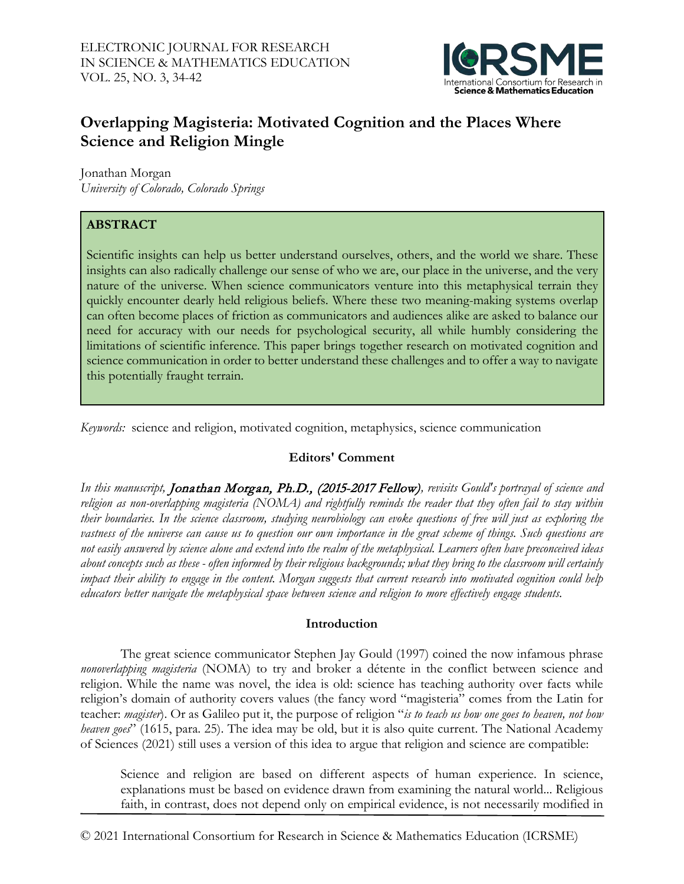

# **Overlapping Magisteria: Motivated Cognition and the Places Where Science and Religion Mingle**

Jonathan Morgan *University of Colorado, Colorado Springs*

# **ABSTRACT**

Scientific insights can help us better understand ourselves, others, and the world we share. These insights can also radically challenge our sense of who we are, our place in the universe, and the very nature of the universe. When science communicators venture into this metaphysical terrain they quickly encounter dearly held religious beliefs. Where these two meaning-making systems overlap can often become places of friction as communicators and audiences alike are asked to balance our need for accuracy with our needs for psychological security, all while humbly considering the limitations of scientific inference. This paper brings together research on motivated cognition and science communication in order to better understand these challenges and to offer a way to navigate this potentially fraught terrain.

*Keywords:* science and religion, motivated cognition, metaphysics, science communication

# **Editors' Comment**

*In this manuscript,* Jonathan Morgan, Ph.D., (2015-2017 Fellow)*, revisits Gould's portrayal of science and religion as non-overlapping magisteria (NOMA) and rightfully reminds the reader that they often fail to stay within their boundaries. In the science classroom, studying neurobiology can evoke questions of free will just as exploring the*  vastness of the universe can cause us to question our own importance in the great scheme of things. Such questions are *not easily answered by science alone and extend into the realm of the metaphysical. Learners often have preconceived ideas about concepts such as these - often informed by their religious backgrounds; what they bring to the classroom will certainly impact their ability to engage in the content. Morgan suggests that current research into motivated cognition could help educators better navigate the metaphysical space between science and religion to more effectively engage students.* 

## **Introduction**

The great science communicator Stephen Jay Gould (1997) coined the now infamous phrase *nonoverlapping magisteria* (NOMA) to try and broker a détente in the conflict between science and religion. While the name was novel, the idea is old: science has teaching authority over facts while religion's domain of authority covers values (the fancy word "magisteria" comes from the Latin for teacher: *magister*). Or as Galileo put it, the purpose of religion "*is to teach us how one goes to heaven, not how heaven goes*" (1615, para. 25). The idea may be old, but it is also quite current. The National Academy of Sciences (2021) still uses a version of this idea to argue that religion and science are compatible:

Science and religion are based on different aspects of human experience. In science, explanations must be based on evidence drawn from examining the natural world... Religious faith, in contrast, does not depend only on empirical evidence, is not necessarily modified in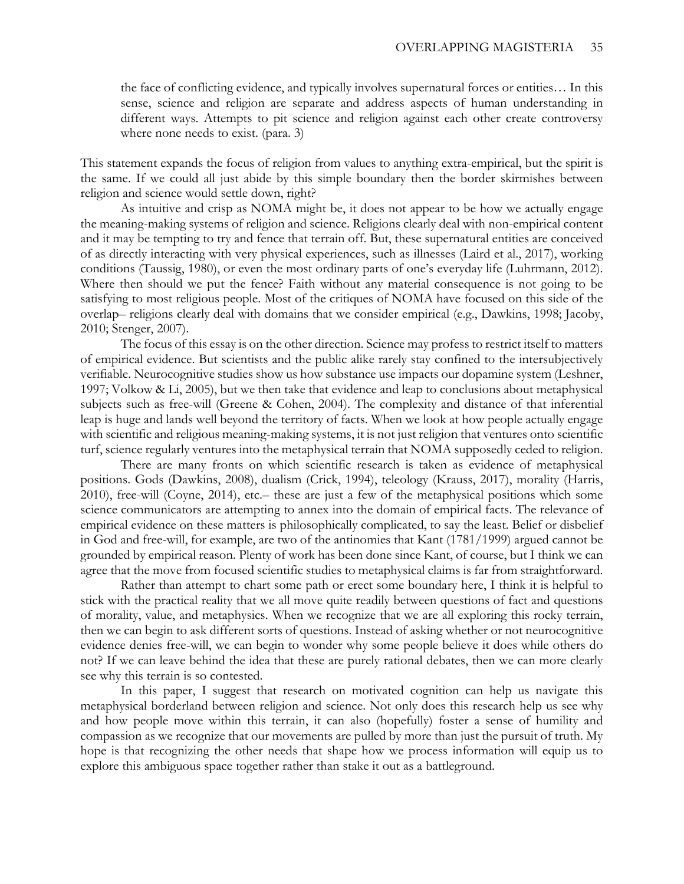the face of conflicting evidence, and typically involves supernatural forces or entities… In this sense, science and religion are separate and address aspects of human understanding in different ways. Attempts to pit science and religion against each other create controversy where none needs to exist. (para. 3)

This statement expands the focus of religion from values to anything extra-empirical, but the spirit is the same. If we could all just abide by this simple boundary then the border skirmishes between religion and science would settle down, right?

As intuitive and crisp as NOMA might be, it does not appear to be how we actually engage the meaning-making systems of religion and science. Religions clearly deal with non-empirical content and it may be tempting to try and fence that terrain off. But, these supernatural entities are conceived of as directly interacting with very physical experiences, such as illnesses (Laird et al., 2017), working conditions (Taussig, 1980), or even the most ordinary parts of one's everyday life (Luhrmann, 2012). Where then should we put the fence? Faith without any material consequence is not going to be satisfying to most religious people. Most of the critiques of NOMA have focused on this side of the overlap– religions clearly deal with domains that we consider empirical (e.g., Dawkins, 1998; Jacoby, 2010; Stenger, 2007).

The focus of this essay is on the other direction. Science may profess to restrict itself to matters of empirical evidence. But scientists and the public alike rarely stay confined to the intersubjectively verifiable. Neurocognitive studies show us how substance use impacts our dopamine system (Leshner, 1997; Volkow & Li, 2005), but we then take that evidence and leap to conclusions about metaphysical subjects such as free-will (Greene & Cohen, 2004). The complexity and distance of that inferential leap is huge and lands well beyond the territory of facts. When we look at how people actually engage with scientific and religious meaning-making systems, it is not just religion that ventures onto scientific turf, science regularly ventures into the metaphysical terrain that NOMA supposedly ceded to religion.

There are many fronts on which scientific research is taken as evidence of metaphysical positions. Gods (Dawkins, 2008), dualism (Crick, 1994), teleology (Krauss, 2017), morality (Harris, 2010), free-will (Coyne, 2014), etc.– these are just a few of the metaphysical positions which some science communicators are attempting to annex into the domain of empirical facts. The relevance of empirical evidence on these matters is philosophically complicated, to say the least. Belief or disbelief in God and free-will, for example, are two of the antinomies that Kant (1781/1999) argued cannot be grounded by empirical reason. Plenty of work has been done since Kant, of course, but I think we can agree that the move from focused scientific studies to metaphysical claims is far from straightforward.

Rather than attempt to chart some path or erect some boundary here, I think it is helpful to stick with the practical reality that we all move quite readily between questions of fact and questions of morality, value, and metaphysics. When we recognize that we are all exploring this rocky terrain, then we can begin to ask different sorts of questions. Instead of asking whether or not neurocognitive evidence denies free-will, we can begin to wonder why some people believe it does while others do not? If we can leave behind the idea that these are purely rational debates, then we can more clearly see why this terrain is so contested.

In this paper, I suggest that research on motivated cognition can help us navigate this metaphysical borderland between religion and science. Not only does this research help us see why and how people move within this terrain, it can also (hopefully) foster a sense of humility and compassion as we recognize that our movements are pulled by more than just the pursuit of truth. My hope is that recognizing the other needs that shape how we process information will equip us to explore this ambiguous space together rather than stake it out as a battleground.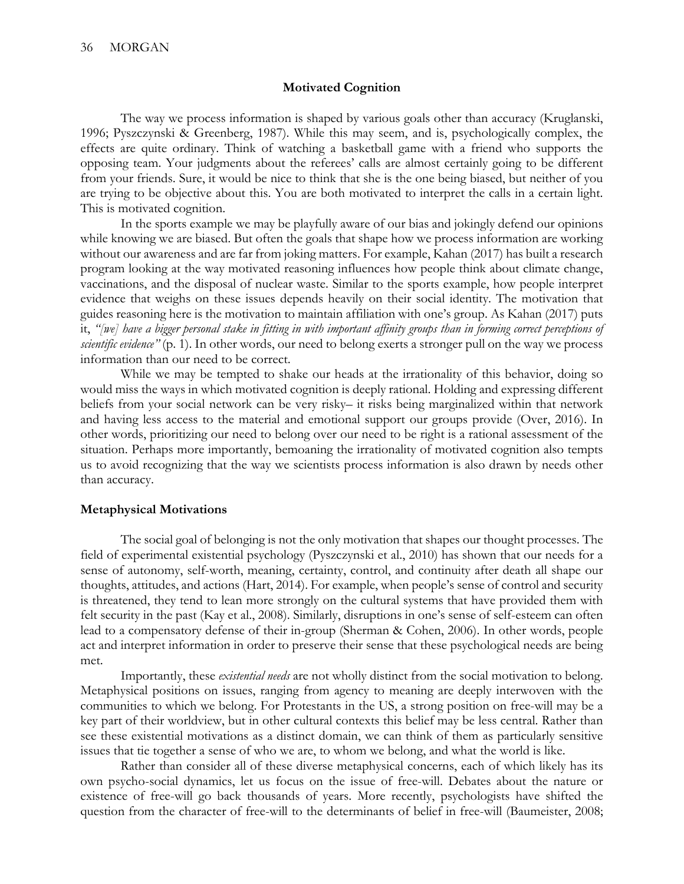### **Motivated Cognition**

The way we process information is shaped by various goals other than accuracy (Kruglanski, 1996; Pyszczynski & Greenberg, 1987). While this may seem, and is, psychologically complex, the effects are quite ordinary. Think of watching a basketball game with a friend who supports the opposing team. Your judgments about the referees' calls are almost certainly going to be different from your friends. Sure, it would be nice to think that she is the one being biased, but neither of you are trying to be objective about this. You are both motivated to interpret the calls in a certain light. This is motivated cognition.

In the sports example we may be playfully aware of our bias and jokingly defend our opinions while knowing we are biased. But often the goals that shape how we process information are working without our awareness and are far from joking matters. For example, Kahan (2017) has built a research program looking at the way motivated reasoning influences how people think about climate change, vaccinations, and the disposal of nuclear waste. Similar to the sports example, how people interpret evidence that weighs on these issues depends heavily on their social identity. The motivation that guides reasoning here is the motivation to maintain affiliation with one's group. As Kahan (2017) puts it, *"[we] have a bigger personal stake in fitting in with important affinity groups than in forming correct perceptions of scientific evidence"* (p. 1). In other words, our need to belong exerts a stronger pull on the way we process information than our need to be correct.

While we may be tempted to shake our heads at the irrationality of this behavior, doing so would miss the ways in which motivated cognition is deeply rational. Holding and expressing different beliefs from your social network can be very risky– it risks being marginalized within that network and having less access to the material and emotional support our groups provide (Over, 2016). In other words, prioritizing our need to belong over our need to be right is a rational assessment of the situation. Perhaps more importantly, bemoaning the irrationality of motivated cognition also tempts us to avoid recognizing that the way we scientists process information is also drawn by needs other than accuracy.

### **Metaphysical Motivations**

The social goal of belonging is not the only motivation that shapes our thought processes. The field of experimental existential psychology (Pyszczynski et al., 2010) has shown that our needs for a sense of autonomy, self-worth, meaning, certainty, control, and continuity after death all shape our thoughts, attitudes, and actions (Hart, 2014). For example, when people's sense of control and security is threatened, they tend to lean more strongly on the cultural systems that have provided them with felt security in the past (Kay et al., 2008). Similarly, disruptions in one's sense of self-esteem can often lead to a compensatory defense of their in-group (Sherman & Cohen, 2006). In other words, people act and interpret information in order to preserve their sense that these psychological needs are being met.

Importantly, these *existential needs* are not wholly distinct from the social motivation to belong. Metaphysical positions on issues, ranging from agency to meaning are deeply interwoven with the communities to which we belong. For Protestants in the US, a strong position on free-will may be a key part of their worldview, but in other cultural contexts this belief may be less central. Rather than see these existential motivations as a distinct domain, we can think of them as particularly sensitive issues that tie together a sense of who we are, to whom we belong, and what the world is like.

Rather than consider all of these diverse metaphysical concerns, each of which likely has its own psycho-social dynamics, let us focus on the issue of free-will. Debates about the nature or existence of free-will go back thousands of years. More recently, psychologists have shifted the question from the character of free-will to the determinants of belief in free-will (Baumeister, 2008;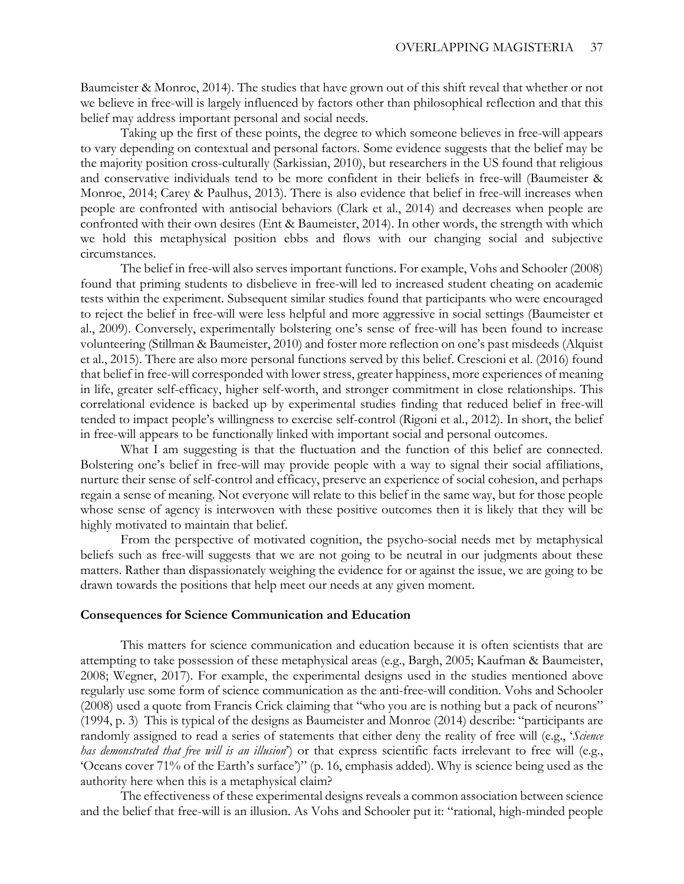Baumeister & Monroe, 2014). The studies that have grown out of this shift reveal that whether or not we believe in free-will is largely influenced by factors other than philosophical reflection and that this belief may address important personal and social needs.

Taking up the first of these points, the degree to which someone believes in free-will appears to vary depending on contextual and personal factors. Some evidence suggests that the belief may be the majority position cross-culturally (Sarkissian, 2010), but researchers in the US found that religious and conservative individuals tend to be more confident in their beliefs in free-will (Baumeister & Monroe, 2014; Carey & Paulhus, 2013). There is also evidence that belief in free-will increases when people are confronted with antisocial behaviors (Clark et al., 2014) and decreases when people are confronted with their own desires (Ent & Baumeister, 2014). In other words, the strength with which we hold this metaphysical position ebbs and flows with our changing social and subjective circumstances.

The belief in free-will also serves important functions. For example, Vohs and Schooler (2008) found that priming students to disbelieve in free-will led to increased student cheating on academic tests within the experiment. Subsequent similar studies found that participants who were encouraged to reject the belief in free-will were less helpful and more aggressive in social settings (Baumeister et al., 2009). Conversely, experimentally bolstering one's sense of free-will has been found to increase volunteering (Stillman & Baumeister, 2010) and foster more reflection on one's past misdeeds (Alquist et al., 2015). There are also more personal functions served by this belief. Crescioni et al. (2016) found that belief in free-will corresponded with lower stress, greater happiness, more experiences of meaning in life, greater self-efficacy, higher self-worth, and stronger commitment in close relationships. This correlational evidence is backed up by experimental studies finding that reduced belief in free-will tended to impact people's willingness to exercise self-control (Rigoni et al., 2012). In short, the belief in free-will appears to be functionally linked with important social and personal outcomes.

What I am suggesting is that the fluctuation and the function of this belief are connected. Bolstering one's belief in free-will may provide people with a way to signal their social affiliations, nurture their sense of self-control and efficacy, preserve an experience of social cohesion, and perhaps regain a sense of meaning. Not everyone will relate to this belief in the same way, but for those people whose sense of agency is interwoven with these positive outcomes then it is likely that they will be highly motivated to maintain that belief.

From the perspective of motivated cognition, the psycho-social needs met by metaphysical beliefs such as free-will suggests that we are not going to be neutral in our judgments about these matters. Rather than dispassionately weighing the evidence for or against the issue, we are going to be drawn towards the positions that help meet our needs at any given moment.

#### **Consequences for Science Communication and Education**

This matters for science communication and education because it is often scientists that are attempting to take possession of these metaphysical areas (e.g., Bargh, 2005; Kaufman & Baumeister, 2008; Wegner, 2017). For example, the experimental designs used in the studies mentioned above regularly use some form of science communication as the anti-free-will condition. Vohs and Schooler (2008) used a quote from Francis Crick claiming that "who you are is nothing but a pack of neurons" (1994, p. 3) This is typical of the designs as Baumeister and Monroe (2014) describe: "participants are randomly assigned to read a series of statements that either deny the reality of free will (e.g., '*Science has demonstrated that free will is an illusion*') or that express scientific facts irrelevant to free will (e.g., 'Oceans cover 71% of the Earth's surface')" (p. 16, emphasis added). Why is science being used as the authority here when this is a metaphysical claim?

The effectiveness of these experimental designs reveals a common association between science and the belief that free-will is an illusion. As Vohs and Schooler put it: "rational, high-minded people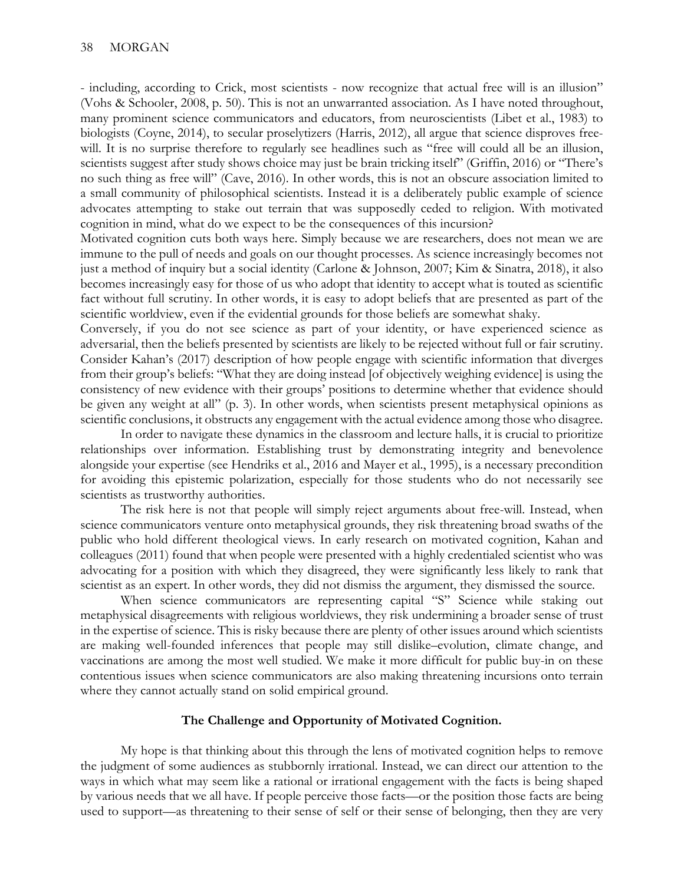- including, according to Crick, most scientists - now recognize that actual free will is an illusion" (Vohs & Schooler, 2008, p. 50). This is not an unwarranted association. As I have noted throughout, many prominent science communicators and educators, from neuroscientists (Libet et al., 1983) to biologists (Coyne, 2014), to secular proselytizers (Harris, 2012), all argue that science disproves freewill. It is no surprise therefore to regularly see headlines such as "free will could all be an illusion, scientists suggest after study shows choice may just be brain tricking itself" (Griffin, 2016) or "There's no such thing as free will" (Cave, 2016). In other words, this is not an obscure association limited to a small community of philosophical scientists. Instead it is a deliberately public example of science advocates attempting to stake out terrain that was supposedly ceded to religion. With motivated cognition in mind, what do we expect to be the consequences of this incursion?

Motivated cognition cuts both ways here. Simply because we are researchers, does not mean we are immune to the pull of needs and goals on our thought processes. As science increasingly becomes not just a method of inquiry but a social identity (Carlone & Johnson, 2007; Kim & Sinatra, 2018), it also becomes increasingly easy for those of us who adopt that identity to accept what is touted as scientific fact without full scrutiny. In other words, it is easy to adopt beliefs that are presented as part of the scientific worldview, even if the evidential grounds for those beliefs are somewhat shaky.

Conversely, if you do not see science as part of your identity, or have experienced science as adversarial, then the beliefs presented by scientists are likely to be rejected without full or fair scrutiny. Consider Kahan's (2017) description of how people engage with scientific information that diverges from their group's beliefs: "What they are doing instead [of objectively weighing evidence] is using the consistency of new evidence with their groups' positions to determine whether that evidence should be given any weight at all" (p. 3). In other words, when scientists present metaphysical opinions as scientific conclusions, it obstructs any engagement with the actual evidence among those who disagree.

In order to navigate these dynamics in the classroom and lecture halls, it is crucial to prioritize relationships over information. Establishing trust by demonstrating integrity and benevolence alongside your expertise (see Hendriks et al., 2016 and Mayer et al., 1995), is a necessary precondition for avoiding this epistemic polarization, especially for those students who do not necessarily see scientists as trustworthy authorities.

The risk here is not that people will simply reject arguments about free-will. Instead, when science communicators venture onto metaphysical grounds, they risk threatening broad swaths of the public who hold different theological views. In early research on motivated cognition, Kahan and colleagues (2011) found that when people were presented with a highly credentialed scientist who was advocating for a position with which they disagreed, they were significantly less likely to rank that scientist as an expert. In other words, they did not dismiss the argument, they dismissed the source.

When science communicators are representing capital "S" Science while staking out metaphysical disagreements with religious worldviews, they risk undermining a broader sense of trust in the expertise of science. This is risky because there are plenty of other issues around which scientists are making well-founded inferences that people may still dislike–evolution, climate change, and vaccinations are among the most well studied. We make it more difficult for public buy-in on these contentious issues when science communicators are also making threatening incursions onto terrain where they cannot actually stand on solid empirical ground.

#### **The Challenge and Opportunity of Motivated Cognition.**

My hope is that thinking about this through the lens of motivated cognition helps to remove the judgment of some audiences as stubbornly irrational. Instead, we can direct our attention to the ways in which what may seem like a rational or irrational engagement with the facts is being shaped by various needs that we all have. If people perceive those facts—or the position those facts are being used to support—as threatening to their sense of self or their sense of belonging, then they are very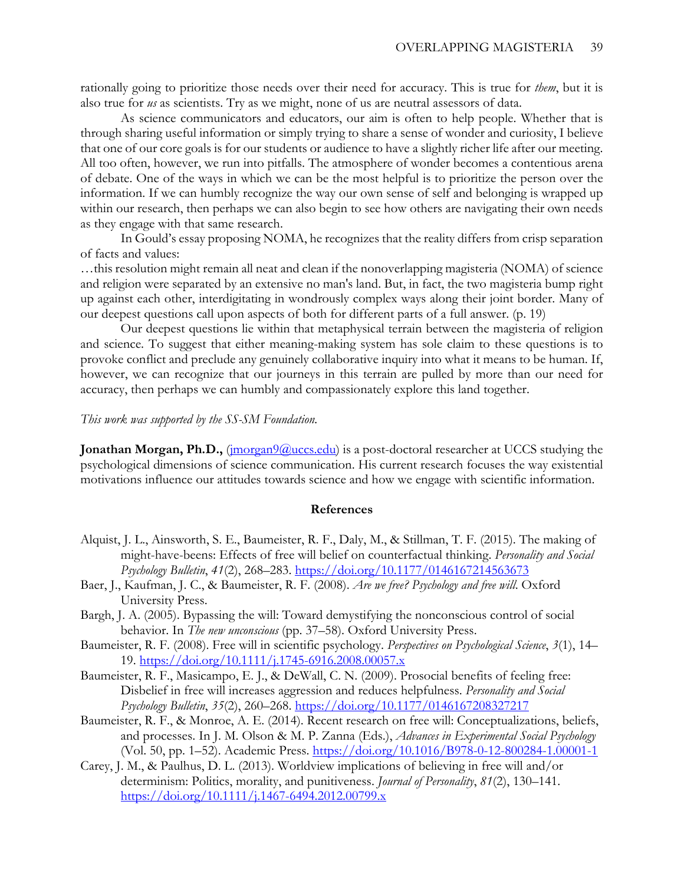rationally going to prioritize those needs over their need for accuracy. This is true for *them*, but it is also true for *us* as scientists. Try as we might, none of us are neutral assessors of data.

As science communicators and educators, our aim is often to help people. Whether that is through sharing useful information or simply trying to share a sense of wonder and curiosity, I believe that one of our core goals is for our students or audience to have a slightly richer life after our meeting. All too often, however, we run into pitfalls. The atmosphere of wonder becomes a contentious arena of debate. One of the ways in which we can be the most helpful is to prioritize the person over the information. If we can humbly recognize the way our own sense of self and belonging is wrapped up within our research, then perhaps we can also begin to see how others are navigating their own needs as they engage with that same research.

In Gould's essay proposing NOMA, he recognizes that the reality differs from crisp separation of facts and values:

…this resolution might remain all neat and clean if the nonoverlapping magisteria (NOMA) of science and religion were separated by an extensive no man's land. But, in fact, the two magisteria bump right up against each other, interdigitating in wondrously complex ways along their joint border. Many of our deepest questions call upon aspects of both for different parts of a full answer. (p. 19)

Our deepest questions lie within that metaphysical terrain between the magisteria of religion and science. To suggest that either meaning-making system has sole claim to these questions is to provoke conflict and preclude any genuinely collaborative inquiry into what it means to be human. If, however, we can recognize that our journeys in this terrain are pulled by more than our need for accuracy, then perhaps we can humbly and compassionately explore this land together.

## *This work was supported by the SS-SM Foundation.*

**Jonathan Morgan, Ph.D.,** [\(jmorgan9@uccs.edu\)](mailto:jmorgan9@uccs.edu) is a post-doctoral researcher at UCCS studying the psychological dimensions of science communication. His current research focuses the way existential motivations influence our attitudes towards science and how we engage with scientific information.

#### **References**

- Alquist, J. L., Ainsworth, S. E., Baumeister, R. F., Daly, M., & Stillman, T. F. (2015). The making of might-have-beens: Effects of free will belief on counterfactual thinking. *Personality and Social Psychology Bulletin*, *41*(2), 268–283.<https://doi.org/10.1177/0146167214563673>
- Baer, J., Kaufman, J. C., & Baumeister, R. F. (2008). *Are we free? Psychology and free will*. Oxford University Press.
- Bargh, J. A. (2005). Bypassing the will: Toward demystifying the nonconscious control of social behavior. In *The new unconscious* (pp. 37–58). Oxford University Press.
- Baumeister, R. F. (2008). Free will in scientific psychology. *Perspectives on Psychological Science*, *3*(1), 14– 19.<https://doi.org/10.1111/j.1745-6916.2008.00057.x>
- Baumeister, R. F., Masicampo, E. J., & DeWall, C. N. (2009). Prosocial benefits of feeling free: Disbelief in free will increases aggression and reduces helpfulness. *Personality and Social Psychology Bulletin*, *35*(2), 260–268.<https://doi.org/10.1177/0146167208327217>
- Baumeister, R. F., & Monroe, A. E. (2014). Recent research on free will: Conceptualizations, beliefs, and processes. In J. M. Olson & M. P. Zanna (Eds.), *Advances in Experimental Social Psychology* (Vol. 50, pp. 1–52). Academic Press.<https://doi.org/10.1016/B978-0-12-800284-1.00001-1>
- Carey, J. M., & Paulhus, D. L. (2013). Worldview implications of believing in free will and/or determinism: Politics, morality, and punitiveness. *Journal of Personality*, *81*(2), 130–141. <https://doi.org/10.1111/j.1467-6494.2012.00799.x>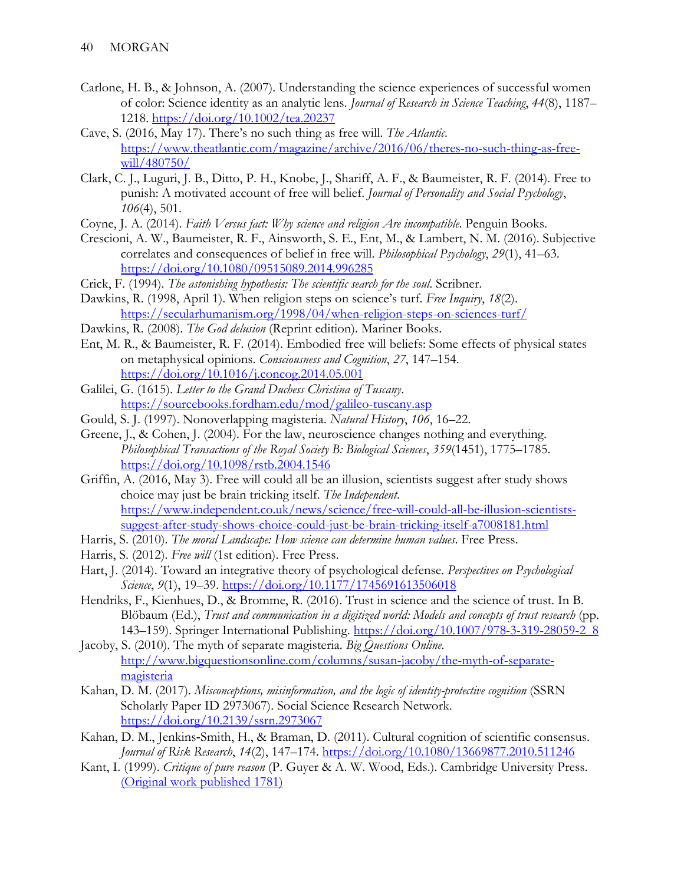- Carlone, H. B., & Johnson, A. (2007). Understanding the science experiences of successful women of color: Science identity as an analytic lens. *Journal of Research in Science Teaching*, *44*(8), 1187– 1218.<https://doi.org/10.1002/tea.20237>
- Cave, S. (2016, May 17). There's no such thing as free will. *The Atlantic*. [https://www.theatlantic.com/magazine/archive/2016/06/theres-no-such-thing-as-free](https://www.theatlantic.com/magazine/archive/2016/06/theres-no-such-thing-as-free-will/480750/)[will/480750/](https://www.theatlantic.com/magazine/archive/2016/06/theres-no-such-thing-as-free-will/480750/)
- Clark, C. J., Luguri, J. B., Ditto, P. H., Knobe, J., Shariff, A. F., & Baumeister, R. F. (2014). Free to punish: A motivated account of free will belief. *Journal of Personality and Social Psychology*, *106*(4), 501.
- Coyne, J. A. (2014). *Faith Versus fact: Why science and religion Are incompatible*. Penguin Books.
- Crescioni, A. W., Baumeister, R. F., Ainsworth, S. E., Ent, M., & Lambert, N. M. (2016). Subjective correlates and consequences of belief in free will. *Philosophical Psychology*, *29*(1), 41–63. <https://doi.org/10.1080/09515089.2014.996285>
- Crick, F. (1994). *The astonishing hypothesis: The scientific search for the soul*. Scribner.
- Dawkins, R. (1998, April 1). When religion steps on science's turf. *Free Inquiry*, *18*(2). <https://secularhumanism.org/1998/04/when-religion-steps-on-sciences-turf/>
- Dawkins, R. (2008). *The God delusion* (Reprint edition). Mariner Books.
- Ent, M. R., & Baumeister, R. F. (2014). Embodied free will beliefs: Some effects of physical states on metaphysical opinions. *Consciousness and Cognition*, *27*, 147–154. <https://doi.org/10.1016/j.concog.2014.05.001>
- Galilei, G. (1615). *Letter to the Grand Duchess Christina of Tuscany*. <https://sourcebooks.fordham.edu/mod/galileo-tuscany.asp>
- Gould, S. J. (1997). Nonoverlapping magisteria. *Natural History*, *106*, 16–22.
- Greene, J., & Cohen, J. (2004). For the law, neuroscience changes nothing and everything. *Philosophical Transactions of the Royal Society B: Biological Sciences*, *359*(1451), 1775–1785. <https://doi.org/10.1098/rstb.2004.1546>
- Griffin, A. (2016, May 3). Free will could all be an illusion, scientists suggest after study shows choice may just be brain tricking itself. *The Independent*. [https://www.independent.co.uk/news/science/free-will-could-all-be-illusion-scientists](https://www.independent.co.uk/news/science/free-will-could-all-be-illusion-scientists-suggest-after-study-shows-choice-could-just-be-brain-tricking-itself-a7008181.html)[suggest-after-study-shows-choice-could-just-be-brain-tricking-itself-a7008181.html](https://www.independent.co.uk/news/science/free-will-could-all-be-illusion-scientists-suggest-after-study-shows-choice-could-just-be-brain-tricking-itself-a7008181.html)
- Harris, S. (2010). *The moral Landscape: How science can determine human values*. Free Press.
- Harris, S. (2012). *Free will* (1st edition). Free Press.
- Hart, J. (2014). Toward an integrative theory of psychological defense. *Perspectives on Psychological Science*, *9*(1), 19–39.<https://doi.org/10.1177/1745691613506018>
- Hendriks, F., Kienhues, D., & Bromme, R. (2016). Trust in science and the science of trust. In B. Blöbaum (Ed.), *Trust and communication in a digitized world: Models and concepts of trust research* (pp. 143–159). Springer International Publishing. [https://doi.org/10.1007/978-3-319-28059-2\\_8](https://doi.org/10.1007/978-3-319-28059-2_8)
- Jacoby, S. (2010). The myth of separate magisteria. *Big Questions Online*. [http://www.bigquestionsonline.com/columns/susan-jacoby/the-myth-of-separate](http://www.bigquestionsonline.com/columns/susan-jacoby/the-myth-of-separate-magisteria)[magisteria](http://www.bigquestionsonline.com/columns/susan-jacoby/the-myth-of-separate-magisteria)
- Kahan, D. M. (2017). *Misconceptions, misinformation, and the logic of identity-protective cognition* (SSRN Scholarly Paper ID 2973067). Social Science Research Network. <https://doi.org/10.2139/ssrn.2973067>
- Kahan, D. M., Jenkins‐Smith, H., & Braman, D. (2011). Cultural cognition of scientific consensus. *Journal of Risk Research*, *14*(2), 147–174.<https://doi.org/10.1080/13669877.2010.511246>
- Kant, I. (1999). *Critique of pure reason* (P. Guyer & A. W. Wood, Eds.). Cambridge University Press. [\(Original work published 1781\)](https://doi.org/(Original%20work%20published%201781))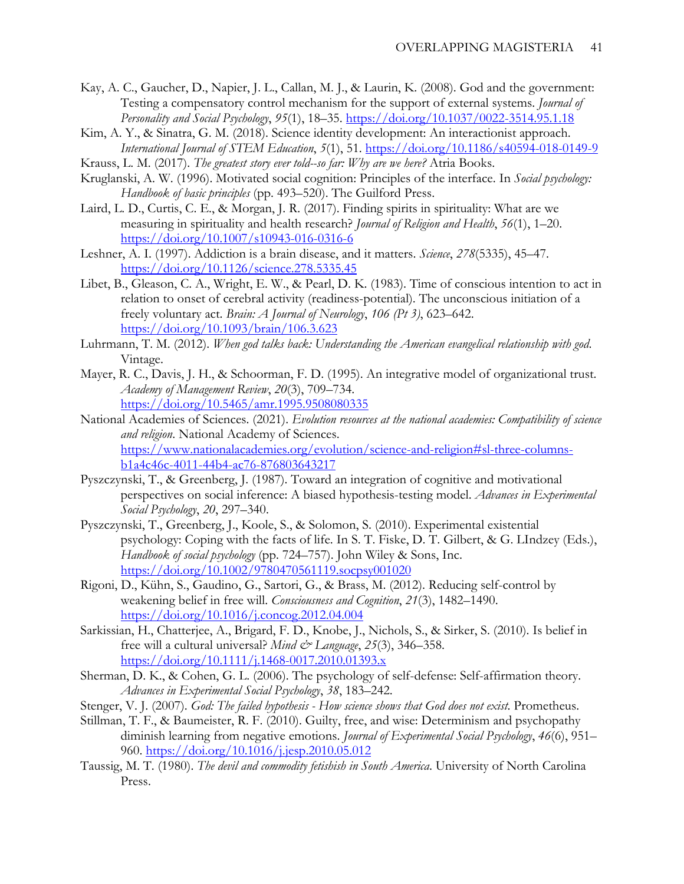- Kay, A. C., Gaucher, D., Napier, J. L., Callan, M. J., & Laurin, K. (2008). God and the government: Testing a compensatory control mechanism for the support of external systems. *Journal of Personality and Social Psychology*, *95*(1), 18–35.<https://doi.org/10.1037/0022-3514.95.1.18>
- Kim, A. Y., & Sinatra, G. M. (2018). Science identity development: An interactionist approach. *International Journal of STEM Education*, *5*(1), 51.<https://doi.org/10.1186/s40594-018-0149-9>
- Krauss, L. M. (2017). *The greatest story ever told--so far: Why are we here?* Atria Books.
- Kruglanski, A. W. (1996). Motivated social cognition: Principles of the interface. In *Social psychology: Handbook of basic principles* (pp. 493–520). The Guilford Press.
- Laird, L. D., Curtis, C. E., & Morgan, J. R. (2017). Finding spirits in spirituality: What are we measuring in spirituality and health research? *Journal of Religion and Health*, *56*(1), 1–20. <https://doi.org/10.1007/s10943-016-0316-6>
- Leshner, A. I. (1997). Addiction is a brain disease, and it matters. *Science*, *278*(5335), 45–47. <https://doi.org/10.1126/science.278.5335.45>
- Libet, B., Gleason, C. A., Wright, E. W., & Pearl, D. K. (1983). Time of conscious intention to act in relation to onset of cerebral activity (readiness-potential). The unconscious initiation of a freely voluntary act. *Brain: A Journal of Neurology*, *106 (Pt 3)*, 623–642. <https://doi.org/10.1093/brain/106.3.623>
- Luhrmann, T. M. (2012). *When god talks back: Understanding the American evangelical relationship with god*. Vintage.
- Mayer, R. C., Davis, J. H., & Schoorman, F. D. (1995). An integrative model of organizational trust. *Academy of Management Review*, *20*(3), 709–734. <https://doi.org/10.5465/amr.1995.9508080335>
- National Academies of Sciences. (2021). *Evolution resources at the national academies: Compatibility of science and religion*. National Academy of Sciences. [https://www.nationalacademies.org/evolution/science-and-religion#sl-three-columns](https://www.nationalacademies.org/evolution/science-and-religion#sl-three-columns-b1a4c46c-4011-44b4-ac76-876803643217)[b1a4c46c-4011-44b4-ac76-876803643217](https://www.nationalacademies.org/evolution/science-and-religion#sl-three-columns-b1a4c46c-4011-44b4-ac76-876803643217)
- Pyszczynski, T., & Greenberg, J. (1987). Toward an integration of cognitive and motivational perspectives on social inference: A biased hypothesis-testing model. *Advances in Experimental Social Psychology*, *20*, 297–340.
- Pyszczynski, T., Greenberg, J., Koole, S., & Solomon, S. (2010). Experimental existential psychology: Coping with the facts of life. In S. T. Fiske, D. T. Gilbert, & G. LIndzey (Eds.), *Handbook of social psychology* (pp. 724–757). John Wiley & Sons, Inc. <https://doi.org/10.1002/9780470561119.socpsy001020>
- Rigoni, D., Kühn, S., Gaudino, G., Sartori, G., & Brass, M. (2012). Reducing self-control by weakening belief in free will. *Consciousness and Cognition*, *21*(3), 1482–1490. <https://doi.org/10.1016/j.concog.2012.04.004>
- Sarkissian, H., Chatterjee, A., Brigard, F. D., Knobe, J., Nichols, S., & Sirker, S. (2010). Is belief in free will a cultural universal? *Mind & Language*, *25*(3), 346–358. <https://doi.org/10.1111/j.1468-0017.2010.01393.x>
- Sherman, D. K., & Cohen, G. L. (2006). The psychology of self-defense: Self-affirmation theory. *Advances in Experimental Social Psychology*, *38*, 183–242.
- Stenger, V. J. (2007). *God: The failed hypothesis How science shows that God does not exist*. Prometheus.
- Stillman, T. F., & Baumeister, R. F. (2010). Guilty, free, and wise: Determinism and psychopathy diminish learning from negative emotions. *Journal of Experimental Social Psychology*, *46*(6), 951– 960.<https://doi.org/10.1016/j.jesp.2010.05.012>
- Taussig, M. T. (1980). *The devil and commodity fetishish in South America*. University of North Carolina Press.